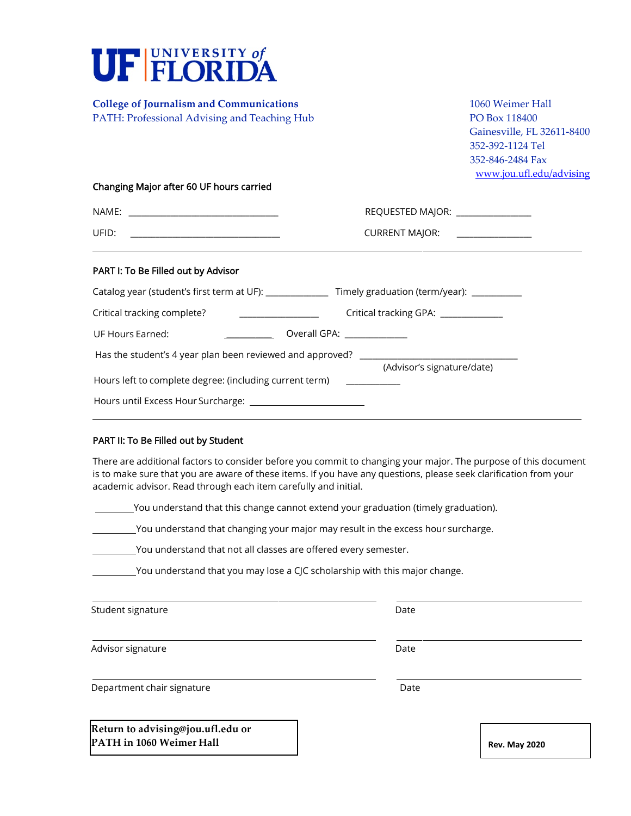

### PART II: To Be Filled out by Student

There are additional factors to consider before you commit to changing your major. The purpose of this document is to make sure that you are aware of these items. If you have any questions, please seek clarification from your academic advisor. Read through each item carefully and initial.

You understand that this change cannot extend your graduation (timely graduation).

You understand that changing your major may result in the excess hour surcharge.

You understand that not all classes are offered every semester.

You understand that you may lose a CJC scholarship with this major change.

| Student signature | Date |
|-------------------|------|
|-------------------|------|

Advisor signature **Date** 

Department chair signature Date Date

The Foundation for The Gator Nation **Return to advising@jou.ufl.edu or PATH** in 1060 Weimer Hall **Rev. May** 2020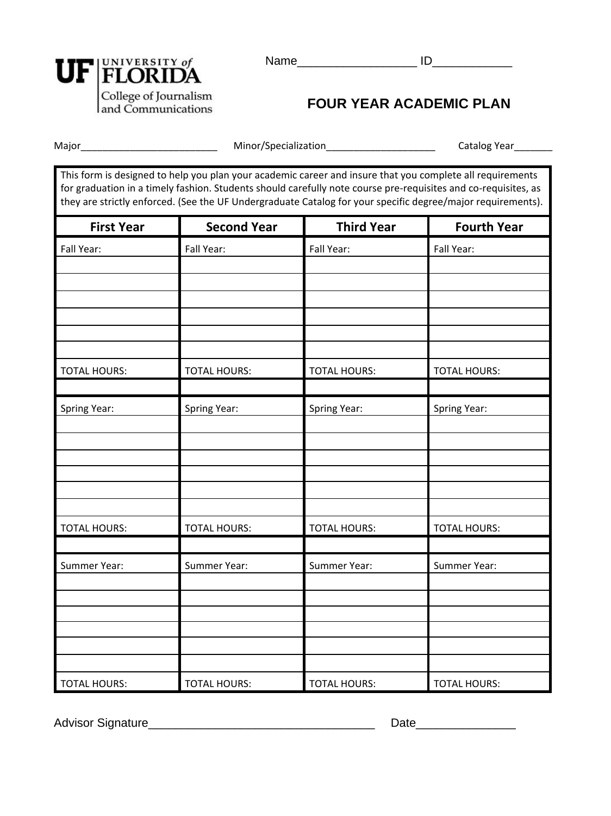

# **FOUR YEAR ACADEMIC PLAN**

Name\_\_\_\_\_\_\_\_\_\_\_\_\_\_\_\_\_\_ ID\_\_\_\_\_\_\_\_\_\_\_\_

Major\_\_\_\_\_\_\_\_\_\_\_\_\_\_\_\_\_\_\_\_\_\_\_\_\_ Minor/Specialization\_\_\_\_\_\_\_\_\_\_\_\_\_\_\_\_\_\_\_\_ Catalog Year\_\_\_\_\_\_\_

This form is designed to help you plan your academic career and insure that you complete all requirements for graduation in a timely fashion. Students should carefully note course pre-requisites and co-requisites, as they are strictly enforced. (See the UF Undergraduate Catalog for your specific degree/major requirements).

| <b>First Year</b>   | <b>Second Year</b>  | <b>Third Year</b>   | <b>Fourth Year</b>  |
|---------------------|---------------------|---------------------|---------------------|
| Fall Year:          | Fall Year:          | Fall Year:          | Fall Year:          |
|                     |                     |                     |                     |
|                     |                     |                     |                     |
|                     |                     |                     |                     |
|                     |                     |                     |                     |
|                     |                     |                     |                     |
|                     |                     |                     |                     |
| <b>TOTAL HOURS:</b> | <b>TOTAL HOURS:</b> | <b>TOTAL HOURS:</b> | <b>TOTAL HOURS:</b> |
|                     |                     |                     |                     |
| Spring Year:        | Spring Year:        | Spring Year:        | Spring Year:        |
|                     |                     |                     |                     |
|                     |                     |                     |                     |
|                     |                     |                     |                     |
|                     |                     |                     |                     |
|                     |                     |                     |                     |
|                     |                     |                     |                     |
| <b>TOTAL HOURS:</b> | <b>TOTAL HOURS:</b> | <b>TOTAL HOURS:</b> | <b>TOTAL HOURS:</b> |
|                     |                     |                     |                     |
| Summer Year:        | Summer Year:        | Summer Year:        | Summer Year:        |
|                     |                     |                     |                     |
|                     |                     |                     |                     |
|                     |                     |                     |                     |
|                     |                     |                     |                     |
|                     |                     |                     |                     |
| <b>TOTAL HOURS:</b> | <b>TOTAL HOURS:</b> | <b>TOTAL HOURS:</b> | <b>TOTAL HOURS:</b> |

Advisor Signature\_\_\_\_\_\_\_\_\_\_\_\_\_\_\_\_\_\_\_\_\_\_\_\_\_\_\_\_\_\_\_\_\_\_ Date\_\_\_\_\_\_\_\_\_\_\_\_\_\_\_